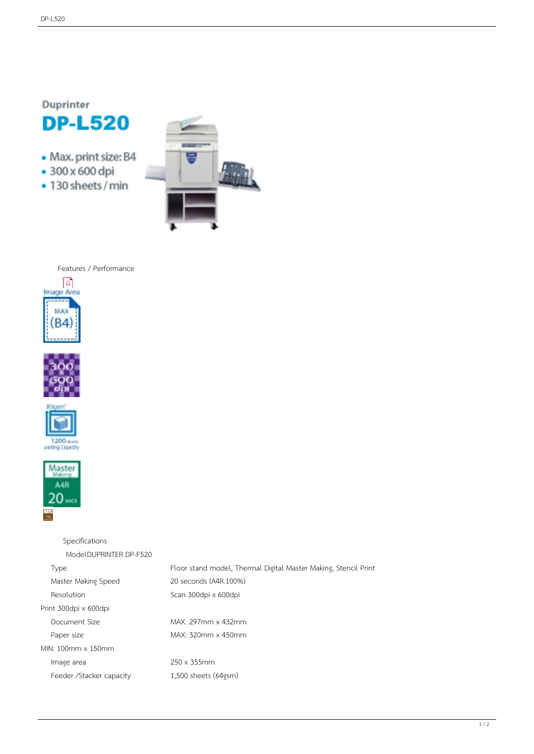Duprinter

- **DP-L520**
- Max. print size: B4
- · 300 x 600 dpi
- · 130 sheets / min



Features / Performance









 Specifications Model DUPRINTER DP-F520 Type Floor stand model, Thermal Digital Master Making, Stencil Print Master Making Speed 20 seconds (A4R.100%) Resolution Scan 300dpi x 600dpi Print 300dpi x 600dpi Document Size MAX. 297mm x 432mm Paper size MAX: 320mm x 450mm MIN: 100mm x 150mm Image area 250 x 355mm Feeder /Stacker capacity 1,500 sheets (64gsm)